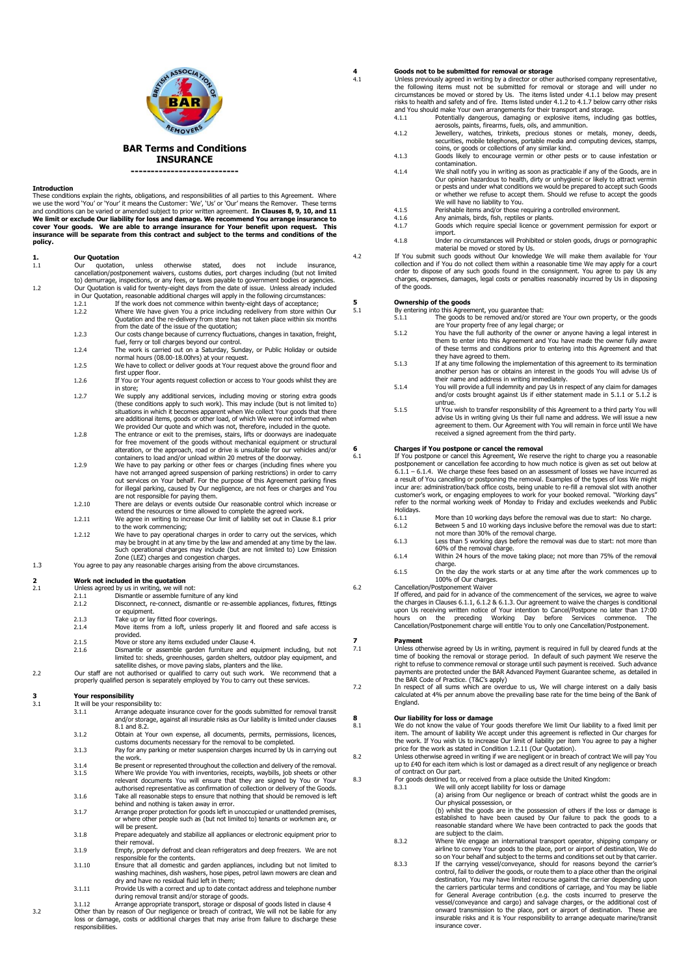

### **BAR Terms and Conditions INSURANCE**

**---------------------------**

**Introduction** These conditions explain the rights, obligations, and responsibilities of all parties to this Agreement. Where we use the word 'You' or 'Your' it means the Customer: 'We', 'Us' or 'Our' means the Remover. These terms and conditions can be varied or amended subject to prior written agreement. **In Clauses 8, 9, 10, and 11 We limit or exclude Our liability for loss and damage. We recommend You arrange insurance to cover Your goods. We are able to arrange insurance for Your benefit upon request. This insurance will be separate from this contract and subject to the terms and conditions of the policy.** 

## **1. Our Quotation**<br> **1.1 Our** quotation

- unless otherwise stated, does not include insurance, cancellation/postponement waivers, customs duties, port charges including (but not limited to) demurrage, inspections, or any fees, or taxes payable to government bodies or agencies. 1.2 Our Quotation is valid for twenty-eight days from the date of issue. Unless already included in Our Quotation, reasonable additional charges will apply in the following circumstances:
	- 1.2.1 If the work does not commence within twenty-eight days of acceptance;<br>1.2.2 Where We have given You a price including redelivery from store within
		- 1.2.2 Where We have given You a price including redelivery from store within Our Quotation and the re-delivery from store has not taken place within six months from the date of the issue of the quotation;
		- 1.2.3 Our costs change because of currency fluctuations, changes in taxation, freight, fuel, ferry or toll charges beyond our control. 1.2.4 The work is carried out on a Saturday, Sunday, or Public Holiday or outside
		- normal hours (08.00-18.00hrs) at your request. 1.2.5 We have to collect or deliver goods at Your request above the ground floor and
		- first upper floor. 1.2.6 If You or Your agents request collection or access to Your goods whilst they are
		- in store;
		- 1.2.7 We supply any additional services, including moving or storing extra goods (these conditions apply to such work). This may include (but is not limited to) situations in which it becomes apparent when We collect Your goods that there are additional items, goods or other load, of which We were not informed when We provided Our quote and which was not, therefore, included in the quote.
		- 1.2.8 The entrance or exit to the premises, stairs, lifts or doorways are inadequate for free movement of the goods without mechanical equipment or structural alteration, or the approach, road or drive is unsuitable for our vehicles and/or<br>containers to load and/or unload within 20 metres of the doorway.<br>1.2.9 We have to pay parking or other fees or charges (including fines wher
		- have not arranged agreed suspension of parking restrictions) in order to carry<br>out services on Your behalf. For the purpose of this Agreement parking fines<br>for illegal parking, caused by Our negligence, are not fees or cha
		- are not responsible for paying them.<br>1.2.10 There are delays or events outside Our reasonable control which increase or<br>extend the resources or time allowed to complete the agreed work.
		- 1.2.11 We agree in writing to increase Our limit of liability set out in Clause 8.1 prior to the work commencing;
		- 1.2.12 We have to pay operational charges in order to carry out the services, which may be brought in at any time by the law and amended at any time by the law. Such operational charges may include (but are not limited to) Low Emission Zone (LEZ) charges and congestion charges.
- 1.3 You agree to pay any reasonable charges arising from the above circumstances.

## **2 2 Work not included in the quotation**<br>2.1 **Unless agreed by us in writing.** We will

- Unless agreed by us in writing, we will not:
- 2.1.1 Dismantle or assemble furniture of any kind<br>2.1.2 Disconnect. re-connect. dismantle or re-ass
- Disconnect, re-connect, dismantle or re-assemble appliances, fixtures, fittings
- or equipment. 2.1.3 Take up or lay fitted floor coverings.
- 2.1.4 Move items from a loft, unless properly lit and floored and safe access is provided.
- 2.1.5 Move or store any items excluded under Clause 4.<br>2.1.6 Dismantle or assemble garden furniture and ex-
- Dismantle or assemble garden furniture and equipment including, but not limited to: sheds, greenhouses, garden shelters, outdoor play equipment, and satellite dishes, or move paving slabs, planters and the like.
- 2.2 Our staff are not authorised or qualified to carry out such work. We recommend that a properly qualified person is separately employed by You to carry out these services.

## **3 Your responsibility**<br>**3.1 It will be your respon**

- It will be your responsibility to:<br>3.1.1 Arrange adequat 3.1.1 Arrange adequate insurance cover for the goods submitted for removal transit and/or storage, against all insurable risks as Our liability is limited under clauses
- 8.1 and 8.2.
- 3.1.2 Obtain at Your own expense, all documents, permits, permissions, licences, customs documents necessary for the removal to be completed. 3.1.3 Pay for any parking or meter suspension charges incurred by Us in carrying out
- the work.
- 3.1.4 Be present or represented throughout the collection and delivery of the removal.<br>3.1.5 Where We provide You with inventories, receipts, waybills, job sheets or other<br>relevant documents You will ensure that they are s authorised representative as confirmation of collection or delivery of the Goods.
- 3.1.6 Take all reasonable steps to ensure that nothing that should be removed is left behind and nothing is taken away in error.
- 3.1.7 Arrange proper protection for goods left in unoccupied or unattended premises, or where other people such as (but not limited to) tenants or workmen are, or will be present. 3.1.8 Prepare adequately and stabilize all appliances or electronic equipment prior to
- their removal.
- 3.1.9 Empty, properly defrost and clean refrigerators and deep freezers. We are not sible for the contents. 3.1.10 Ensure that all domestic and garden appliances, including but not limited to
- washing machines, dish washers, hose pipes, petrol lawn mowers are clean and dry and have no residual fluid left in them; 3.1.11 Provide Us with a correct and up to date contact address and telephone number
- during removal transit and/or storage of goods. Arrange appropriate transport, storage or disposal of goods listed in clause 4
- 3.2 Other than by reason of Our negligence or breach of contract, We will not be liable for any loss or damage, costs or additional charges that may arise from failure to discharge these responsibilities.

## **4 Goods not to be submitted for removal or storage**

Unless previously agreed in writing by a director or other authorised company representative, the following items must not be submitted for removal or storage and will under no<br>circumstances be moved or stored by Us. The items listed under 4.1.1 below may present<br>risks to health and safety and of fire. Items listed

- and You should make Your own arrangements for their transport and storage. 4.1.1 Potentially dangerous, damaging or explosive items, including gas bottles,
- aerosols, paints, firearms, fuels, oils, and ammunition. 4.1.2 Jewellery, watches, trinkets, precious stones or metals, money, deeds, securities, mobile telephones, portable media and computing devices, stamps,
- coins, or goods or collections of any similar kind. 4.1.3 Goods likely to encourage vermin or other pests or to cause infestation or contamination.
- 4.1.4 We shall notify you in writing as soon as practicable if any of the Goods, are in Our opinion hazardous to health, dirty or unhygienic or likely to attract vermin or pests and under what conditions we would be prepared to accept such Goods or whether we refuse to accept them. Should we refuse to accept the goods We will have no liability to You.
- 4.1.5 Perishable items and/or those requiring a controlled environment<br>4.1.6 Any animals, birds, fish, reptiles or plants.<br>4.1.7 Goods which require special licence or government permission
- 
- 4.1.6 Any animals, birds, fish, reptiles or plants. 4.1.7 Goods which require special licence or government permission for export or import.
- 4.1.8 Under no circumstances will Prohibited or stolen goods, drugs or pornographic
- material be moved or stored by Us.<br>4.2 If You submit such goods without Our knowledge We will make them available for Your<br>collection and if You do not collect them within a reasonable time We may apply for a court order to dispose of any such goods found in the consignment. You agree to pay Us any charges, expenses, damages, legal costs or penalties reasonably incurred by Us in disposing of the goods.

# **5 Ownership of the goods**<br>5.1 **By entering into this Agreer**

- 5.1 By entering into this Agreement, you guarantee that: 5.1.1 The goods to be removed and/or stored are Your own property, or the goods are Your property free of any legal charge; or
	- 5.1.2 You have the full authority of the owner or anyone having a legal interest in them to enter into this Agreement and You have made the owner fully aware of these terms and conditions prior to entering into this Agreement and that
	- they have agreed to them. 5.1.3 If at any time following the implementation of this agreement to its termination another person has or obtains an interest in the goods You will advise Us of
	- their name and address in writing immediately. 5.1.4 You will provide a full indemnity and pay Us in respect of any claim for damages and/or costs brought against Us if either statement made in 5.1.1 or 5.1.2 is untrue.
	- 5.1.5 If You wish to transfer responsibility of this Agreement to a third party You will advise Us in writing giving Us their full name and address. We will issue a new agreement to them. Our Agreement with You will remain in force until We have received a signed agreement from the third party.

## **6 Charges if You postpone or cancel the removal** 6.1 **If You postpone or cancel this Agreement.** We reser

If You postpone or cancel this Agreement, We reserve the right to charge you a reasonable postponement or cancellation fee according to how much notice is given as set out below at<br>6.1.1 – 6.1.4. We charge these fees based on an assessment of losses we have incurred as<br>a result of You cancelling or postponing incur are: administration/back office costs, being unable to re-fill a removal slot with another<br>customer's work, or engaging employees to work for your booked removal. "Working days"<br>refer to the normal working week of Mo Holidays.

- 6.1.1 More than 10 working days before the removal was due to start: No charge.<br>6.1.2 Between 5 and 10 working days inclusive before the removal was due to sta
- 6.1.2 Between 5 and 10 working days inclusive before the removal was due to start: not more than 30% of the removal charge. 6.1.3 Less than 5 working days before the removal was due to start: not more than
- 60% of the removal charge. 6.1.4 Within 24 hours of the move taking place; not more than 75% of the removal charge.
- 6.1.5 On the day the work starts or at any time after the work commences up to<br>100% of Our charges.<br>6.2 Cancellation/Postponement Waiver
	-

If offered, and paid for in advance of the commencement of the services, we agree to waive the charges in Clauses 6.1.1, 6.1.2 & 6.1.3. Our agreement to waive the charges is conditional upon Us receiving written notice of Your intention to Cancel/Postpone no later than 17:00<br>hours on the preceding Working Day before Services commence. The<br>Cancellation/Postponement charge will entitle You

# **7 Payment**<br> **7.1 Unless ot**

7.1 Unless otherwise agreed by Us in writing, payment is required in full by cleared funds at the time of booking the removal or storage period. In default of such payment We reserve the right to refuse to commence removal or storage until such payment is received. Such advance payments are protected under the BAR Advanced Payment Guarantee scheme, as detailed in the BAR Code of Practice. (T&C's apply) 7.2 In respect of all sums which are overdue to us, We will charge interest on a daily basis

calculated at 4% per annum above the prevailing base rate for the time being of the Bank of England.

**8 Our liability for loss or damage**  8.1 We do not know the value of Your goods therefore We limit Our liability to a fixed limit per item. The amount of liability We accept under this agreement is reflected in Our charges for the work. If You wish Us to increase Our limit of liability per item You agree to pay a higher price for the work as stated in Condition 1.2.11 (Our Quotation).

8.2 Unless otherwise agreed in writing if we are negligent or in breach of contract We will pay You up to £40 for each item which is lost or damaged as a direct result of any negligence or breach of contract on Our part.

- 8.3 For goods destined to, or received from a place outside the United Kingdom:<br>8.3.1 We will only accept liability for loss or damage
	- 8.3.1 We will only accept liability for loss or damage (a) arising from Our negligence or breach of contract whilst the goods are in
	- Our physical possession, or (b) whilst the goods are in the possession of others if the loss or damage is established to have been caused by Our failure to pack the goods to a reasonable standard where We have been contracted to pack the goods that are subject to the claim.
	- 8.3.2 Where We engage an international transport operator, shipping company or<br>airline to convey Your goods to the place, port or airport of destination, We do<br>so on Your behalf and subject to the terms and conditions set
	- 8.3.3 If the carrying vessel/conveyance, should for reasons beyond the carrier's control, fail to deliver the goods, or route them to a place other than the original destination, You may have limited recourse against the carrier depending upon<br>the carriers particular terms and conditions of carriage, and You may be liable<br>for General Average contribution (e.g. the costs incurred to pre insurance cover.

SSOCIATION